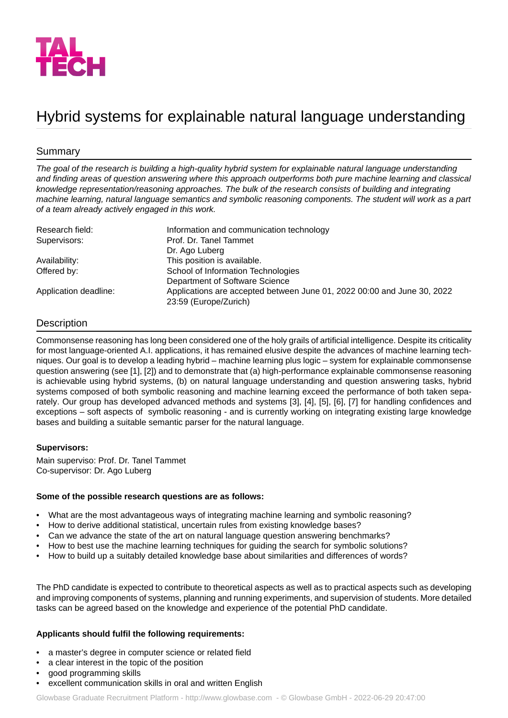

# Hybrid systems for explainable natural language understanding

## Summary

*The goal of the research is building a high-quality hybrid system for explainable natural language understanding and finding areas of question answering where this approach outperforms both pure machine learning and classical knowledge representation/reasoning approaches. The bulk of the research consists of building and integrating machine learning, natural language semantics and symbolic reasoning components. The student will work as a part of a team already actively engaged in this work.*

| Research field:       | Information and communication technology                                                         |
|-----------------------|--------------------------------------------------------------------------------------------------|
| Supervisors:          | Prof. Dr. Tanel Tammet                                                                           |
|                       | Dr. Ago Luberg                                                                                   |
| Availability:         | This position is available.                                                                      |
| Offered by:           | School of Information Technologies                                                               |
|                       | Department of Software Science                                                                   |
| Application deadline: | Applications are accepted between June 01, 2022 00:00 and June 30, 2022<br>23:59 (Europe/Zurich) |

## **Description**

Commonsense reasoning has long been considered one of the holy grails of artificial intelligence. Despite its criticality for most language-oriented A.I. applications, it has remained elusive despite the advances of machine learning techniques. Our goal is to develop a leading hybrid – machine learning plus logic – system for explainable commonsense question answering (see [1], [2]) and to demonstrate that (a) high-performance explainable commonsense reasoning is achievable using hybrid systems, (b) on natural language understanding and question answering tasks, hybrid systems composed of both symbolic reasoning and machine learning exceed the performance of both taken separately. Our group has developed advanced methods and systems [3], [4], [5], [6], [7] for handling confidences and exceptions – soft aspects of symbolic reasoning - and is currently working on integrating existing large knowledge bases and building a suitable semantic parser for the natural language.

### **Supervisors:**

Main superviso: Prof. Dr. Tanel Tammet Co-supervisor: Dr. Ago Luberg

### **Some of the possible research questions are as follows:**

- What are the most advantageous ways of integrating machine learning and symbolic reasoning?
- How to derive additional statistical, uncertain rules from existing knowledge bases?
- Can we advance the state of the art on natural language question answering benchmarks?
- How to best use the machine learning techniques for guiding the search for symbolic solutions?
- How to build up a suitably detailed knowledge base about similarities and differences of words?

The PhD candidate is expected to contribute to theoretical aspects as well as to practical aspects such as developing and improving components of systems, planning and running experiments, and supervision of students. More detailed tasks can be agreed based on the knowledge and experience of the potential PhD candidate.

### **Applicants should fulfil the following requirements:**

- a master's degree in computer science or related field
- a clear interest in the topic of the position
- good programming skills
- excellent communication skills in oral and written English

Glowbase Graduate Recruitment Platform -<http://www.glowbase.com> - © Glowbase GmbH - 2022-06-29 20:47:00